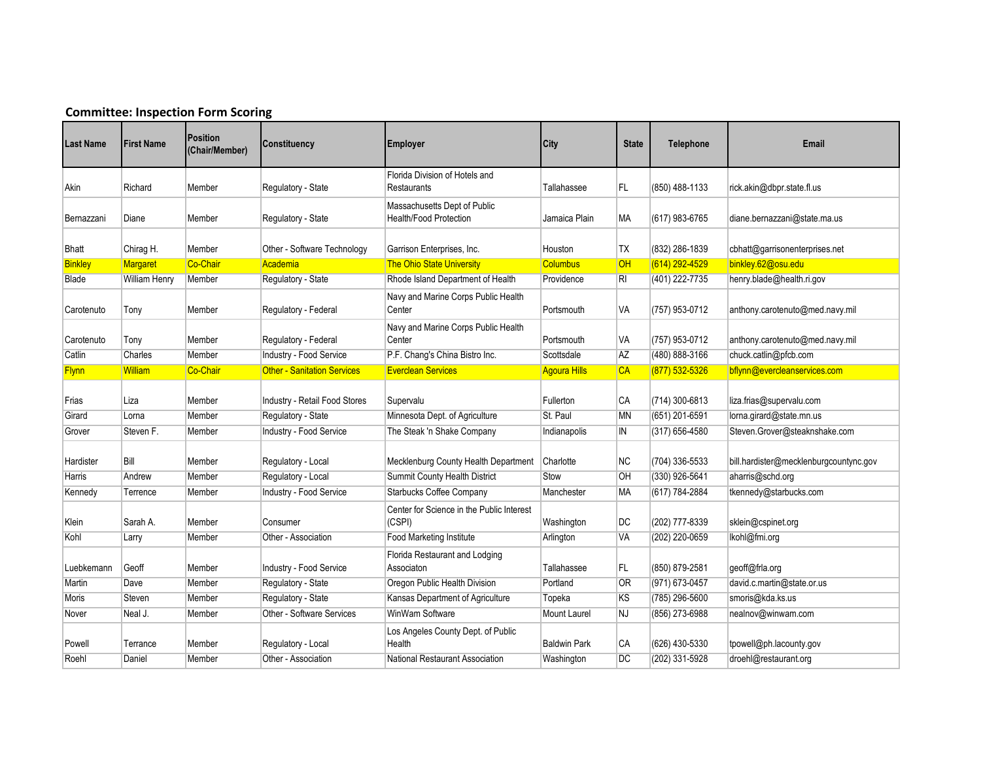| <b>Committee: Inspection Form Scoring</b> |  |  |  |
|-------------------------------------------|--|--|--|
|-------------------------------------------|--|--|--|

| <b>Last Name</b> | <b>First Name</b>    | <b>Position</b><br>Chair/Member) | <b>Constituency</b>                | <b>Employer</b>                                     | City                | <b>State</b> | <b>Telephone</b>   | <b>Email</b>                           |
|------------------|----------------------|----------------------------------|------------------------------------|-----------------------------------------------------|---------------------|--------------|--------------------|----------------------------------------|
| Akin             | Richard              | Member                           | Regulatory - State                 | Florida Division of Hotels and<br>Restaurants       | Tallahassee         | FL.          | (850) 488-1133     | rick.akin@dbpr.state.fl.us             |
|                  |                      |                                  |                                    | Massachusetts Dept of Public                        |                     |              |                    |                                        |
| Bernazzani       | Diane                | Member                           | Regulatory - State                 | <b>Health/Food Protection</b>                       | Jamaica Plain       | MA.          | (617) 983-6765     | diane.bernazzani@state.ma.us           |
| <b>Bhatt</b>     | Chirag H.            | Member                           | Other - Software Technology        | Garrison Enterprises, Inc.                          | Houston             | <b>TX</b>    | (832) 286-1839     | cbhatt@garrisonenterprises.net         |
| <b>Binkley</b>   | <b>Margaret</b>      | Co-Chair                         | Academia                           | <b>The Ohio State University</b>                    | <b>Columbus</b>     | <b>OH</b>    | (614) 292-4529     | binkley.62@osu.edu                     |
| Blade            | <b>William Henry</b> | Member                           | Regulatory - State                 | Rhode Island Department of Health                   | Providence          | RI           | (401) 222-7735     | henry.blade@health.ri.gov              |
| Carotenuto       | Tony                 | Member                           | Regulatory - Federal               | Navy and Marine Corps Public Health<br>Center       | Portsmouth          | VA           | (757) 953-0712     | anthony.carotenuto@med.navy.mil        |
| Carotenuto       | Tony                 | Member                           | Regulatory - Federal               | Navy and Marine Corps Public Health<br>Center       | Portsmouth          | VA.          | (757) 953-0712     | anthony.carotenuto@med.navy.mil        |
| Catlin           | Charles              | Member                           | Industry - Food Service            | P.F. Chang's China Bistro Inc.                      | Scottsdale          | ΙAΖ          | (480) 888-3166     | chuck.catlin@pfcb.com                  |
| <b>Flynn</b>     | <b>William</b>       | Co-Chair                         | <b>Other - Sanitation Services</b> | <b>Everclean Services</b>                           | <b>Agoura Hills</b> | <b>CA</b>    | (877) 532-5326     | bflynn@evercleanservices.com           |
| Frias            | Liza                 | Member                           | Industry - Retail Food Stores      | Supervalu                                           | Fullerton           | CA           | (714) 300-6813     | liza.frias@supervalu.com               |
| Girard           | Lorna                | Member                           | Regulatory - State                 | Minnesota Dept. of Agriculture                      | St. Paul            | IMN          | (651) 201-6591     | lorna.girard@state.mn.us               |
| Grover           | Steven F.            | Member                           | Industry - Food Service            | The Steak 'n Shake Company                          | Indianapolis        | IN           | $(317) 656 - 4580$ | Steven.Grover@steaknshake.com          |
| Hardister        | Bill                 | Member                           | Regulatory - Local                 | Mecklenburg County Health Department                | Charlotte           | NC           | (704) 336-5533     | bill.hardister@mecklenburgcountync.gov |
| Harris           | Andrew               | Member                           | Regulatory - Local                 | Summit County Health District                       | Stow                | IOH          | (330) 926-5641     | aharris@schd.org                       |
| Kennedy          | Terrence             | Member                           | Industry - Food Service            | Starbucks Coffee Company                            | Manchester          | МA           | (617) 784-2884     | tkennedy@starbucks.com                 |
| Klein            | Sarah A.             | Member                           | Consumer                           | Center for Science in the Public Interest<br>(CSPI) | Washington          | DC           | (202) 777-8339     | sklein@cspinet.org                     |
| Kohl             | Larry                | Member                           | Other - Association                | Food Marketing Institute                            | Arlington           | VA           | (202) 220-0659     | lkohl@fmi.org                          |
| Luebkemann       | Geoff                | Member                           | Industry - Food Service            | Florida Restaurant and Lodging<br>Associaton        | Tallahassee         | FL.          | (850) 879-2581     | geoff@frla.org                         |
| Martin           | Dave                 | Member                           | Regulatory - State                 | Oregon Public Health Division                       | Portland            | IOR          | (971) 673-0457     | david.c.martin@state.or.us             |
| Moris            | Steven               | Member                           | Regulatory - State                 | Kansas Department of Agriculture                    | Topeka              | KS           | (785) 296-5600     | smoris@kda.ks.us                       |
| Nover            | Neal J.              | Member                           | Other - Software Services          | WinWam Software                                     | <b>Mount Laurel</b> | NJ           | (856) 273-6988     | nealnov@winwam.com                     |
| Powell           | Terrance             | Member                           | Regulatory - Local                 | Los Angeles County Dept. of Public<br>Health        | <b>Baldwin Park</b> | CA           | (626) 430-5330     | tpowell@ph.lacounty.gov                |
| Roehl            | Daniel               | Member                           | Other - Association                | National Restaurant Association                     | Washington          | DC           | (202) 331-5928     | droehl@restaurant.org                  |